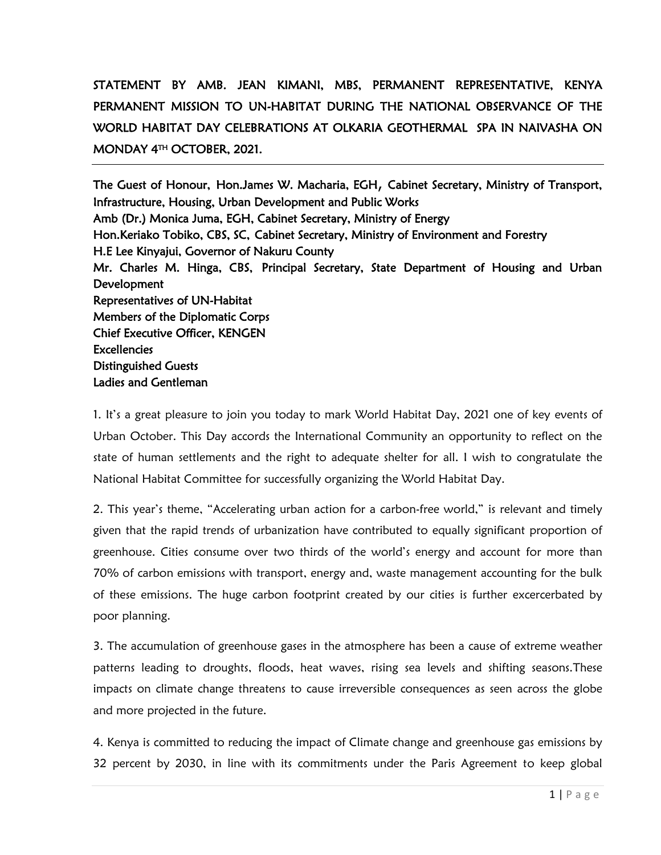## STATEMENT BY AMB. JEAN KIMANI, MBS, PERMANENT REPRESENTATIVE, KENYA PERMANENT MISSION TO UN-HABITAT DURING THE NATIONAL OBSERVANCE OF THE WORLD HABITAT DAY CELEBRATIONS AT OLKARIA GEOTHERMAL SPA IN NAIVASHA ON MONDAY 4TH OCTOBER, 2021.

The Guest of Honour, Hon.James W. Macharia, EGH, Cabinet Secretary, Ministry of Transport, Infrastructure, Housing, Urban Development and Public Works Amb (Dr.) Monica Juma, EGH, Cabinet Secretary, Ministry of Energy Hon.Keriako Tobiko, CBS, SC, Cabinet Secretary, Ministry of Environment and Forestry H.E Lee Kinyajui, Governor of Nakuru County Mr. Charles M. Hinga, CBS, Principal Secretary, State Department of Housing and Urban Development Representatives of UN-Habitat Members of the Diplomatic Corps Chief Executive Officer, KENGEN **Excellencies** Distinguished Guests Ladies and Gentleman

1. It's a great pleasure to join you today to mark World Habitat Day, 2021 one of key events of Urban October. This Day accords the International Community an opportunity to reflect on the state of human settlements and the right to adequate shelter for all. I wish to congratulate the National Habitat Committee for successfully organizing the World Habitat Day.

2. This year's theme, "Accelerating urban action for a carbon-free world," is relevant and timely given that the rapid trends of urbanization have contributed to equally significant proportion of greenhouse. Cities consume over two thirds of the world's energy and account for more than 70% of carbon emissions with transport, energy and, waste management accounting for the bulk of these emissions. The huge carbon footprint created by our cities is further excercerbated by poor planning.

3. The accumulation of greenhouse gases in the atmosphere has been a cause of extreme weather patterns leading to droughts, floods, heat waves, rising sea levels and shifting seasons.These impacts on climate change threatens to cause irreversible consequences as seen across the globe and more projected in the future.

4. Kenya is committed to reducing the impact of Climate change and greenhouse gas emissions by 32 percent by 2030, in line with its commitments under the Paris Agreement to keep global